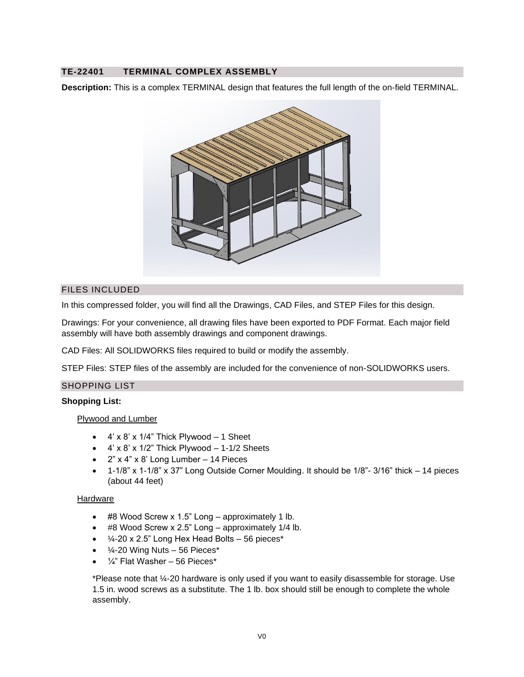# **TE-22401 TERMINAL COMPLEX ASSEMBLY**

**Description:** This is a complex TERMINAL design that features the full length of the on-field TERMINAL.



### FILES INCLUDED

In this compressed folder, you will find all the Drawings, CAD Files, and STEP Files for this design.

Drawings: For your convenience, all drawing files have been exported to PDF Format. Each major field assembly will have both assembly drawings and component drawings.

CAD Files: All SOLIDWORKS files required to build or modify the assembly.

STEP Files: STEP files of the assembly are included for the convenience of non-SOLIDWORKS users.

## SHOPPING LIST

#### **Shopping List:**

Plywood and Lumber

- $\bullet$  4' x 8' x 1/4" Thick Plywood  $-$  1 Sheet
- $\bullet$  4' x 8' x 1/2" Thick Plywood  $-$  1-1/2 Sheets
- 2" x 4" x 8' Long Lumber 14 Pieces
- 1-1/8" x 1-1/8" x 37" Long Outside Corner Moulding. It should be 1/8"- 3/16" thick 14 pieces (about 44 feet)

#### **Hardware**

- #8 Wood Screw x 1.5" Long approximately 1 lb.
- #8 Wood Screw x 2.5" Long approximately 1/4 lb.
- $\bullet$  /4-20 x 2.5" Long Hex Head Bolts 56 pieces\*
- $\frac{1}{4}$ -20 Wing Nuts 56 Pieces\*
- $\frac{1}{4}$ " Flat Washer 56 Pieces\*

\*Please note that ¼-20 hardware is only used if you want to easily disassemble for storage. Use 1.5 in. wood screws as a substitute. The 1 lb. box should still be enough to complete the whole assembly.